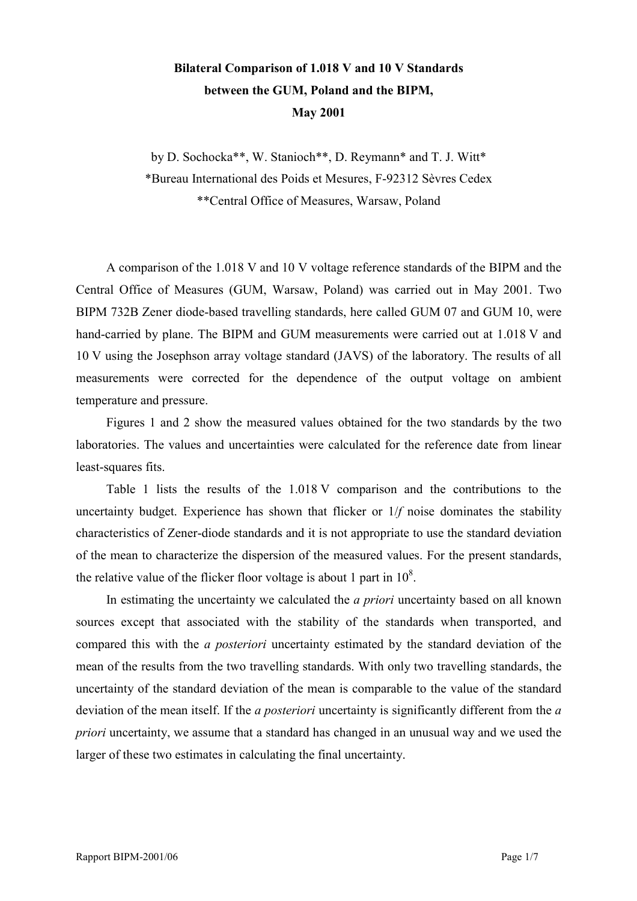## **Bilateral Comparison of 1.018 V and 10 V Standards between the GUM, Poland and the BIPM, May 2001**

by D. Sochocka\*\*, W. Stanioch\*\*, D. Reymann\* and T. J. Witt\* \*Bureau International des Poids et Mesures, F-92312 SËvres Cedex \*\*Central Office of Measures, Warsaw, Poland

A comparison of the 1.018 V and 10 V voltage reference standards of the BIPM and the Central Office of Measures (GUM, Warsaw, Poland) was carried out in May 2001. Two BIPM 732B Zener diode-based travelling standards, here called GUM 07 and GUM 10, were hand-carried by plane. The BIPM and GUM measurements were carried out at 1.018 V and 10 V using the Josephson array voltage standard (JAVS) of the laboratory. The results of all measurements were corrected for the dependence of the output voltage on ambient temperature and pressure.

Figures 1 and 2 show the measured values obtained for the two standards by the two laboratories. The values and uncertainties were calculated for the reference date from linear least-squares fits.

Table 1 lists the results of the 1.018 V comparison and the contributions to the uncertainty budget. Experience has shown that flicker or 1/*f* noise dominates the stability characteristics of Zener-diode standards and it is not appropriate to use the standard deviation of the mean to characterize the dispersion of the measured values. For the present standards, the relative value of the flicker floor voltage is about 1 part in  $10^8$ .

In estimating the uncertainty we calculated the *a priori* uncertainty based on all known sources except that associated with the stability of the standards when transported, and compared this with the *a posteriori* uncertainty estimated by the standard deviation of the mean of the results from the two travelling standards. With only two travelling standards, the uncertainty of the standard deviation of the mean is comparable to the value of the standard deviation of the mean itself. If the *a posteriori* uncertainty is significantly different from the *a priori* uncertainty, we assume that a standard has changed in an unusual way and we used the larger of these two estimates in calculating the final uncertainty.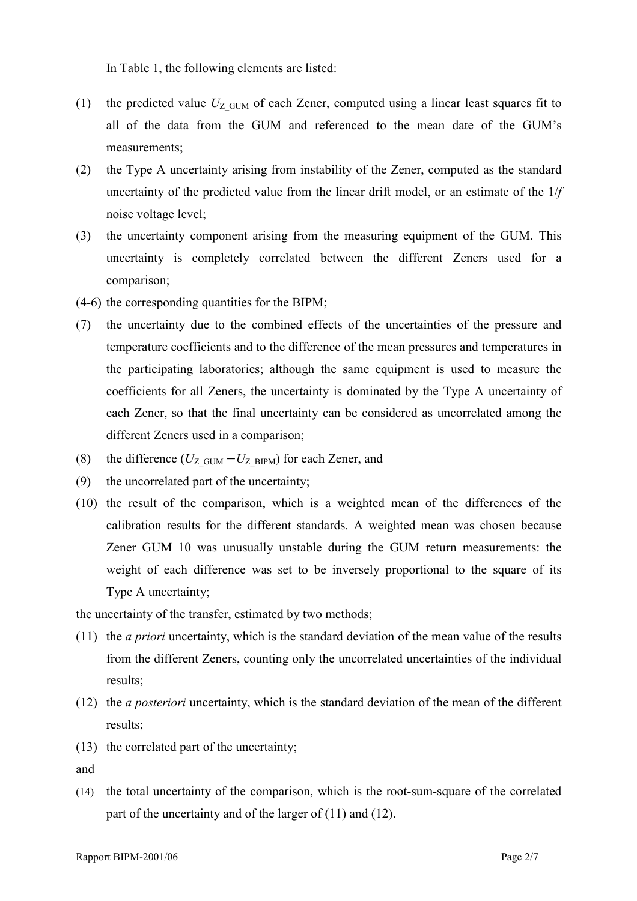In Table 1, the following elements are listed:

- (1) the predicted value  $U_{Z\text{GUM}}$  of each Zener, computed using a linear least squares fit to all of the data from the GUM and referenced to the mean date of the GUM's measurements;
- (2) the Type A uncertainty arising from instability of the Zener, computed as the standard uncertainty of the predicted value from the linear drift model, or an estimate of the 1/*f* noise voltage level;
- (3) the uncertainty component arising from the measuring equipment of the GUM. This uncertainty is completely correlated between the different Zeners used for a comparison;
- (4-6) the corresponding quantities for the BIPM;
- (7) the uncertainty due to the combined effects of the uncertainties of the pressure and temperature coefficients and to the difference of the mean pressures and temperatures in the participating laboratories; although the same equipment is used to measure the coefficients for all Zeners, the uncertainty is dominated by the Type A uncertainty of each Zener, so that the final uncertainty can be considered as uncorrelated among the different Zeners used in a comparison;
- (8) the difference ( $U_Z$ <sub>GUM</sub>  $U_Z$ <sub>BIPM</sub>) for each Zener, and
- (9) the uncorrelated part of the uncertainty;
- (10) the result of the comparison, which is a weighted mean of the differences of the calibration results for the different standards. A weighted mean was chosen because Zener GUM 10 was unusually unstable during the GUM return measurements: the weight of each difference was set to be inversely proportional to the square of its Type A uncertainty;

the uncertainty of the transfer, estimated by two methods;

- (11) the *a priori* uncertainty, which is the standard deviation of the mean value of the results from the different Zeners, counting only the uncorrelated uncertainties of the individual results;
- (12) the *a posteriori* uncertainty, which is the standard deviation of the mean of the different results;
- (13) the correlated part of the uncertainty;

and

(14) the total uncertainty of the comparison, which is the root-sum-square of the correlated part of the uncertainty and of the larger of (11) and (12).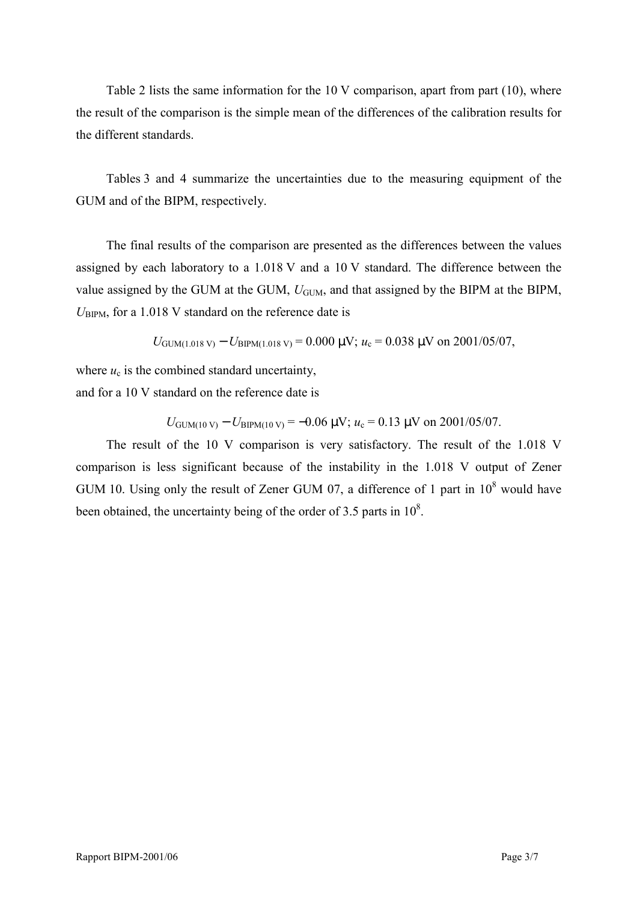Table 2 lists the same information for the 10 V comparison, apart from part (10), where the result of the comparison is the simple mean of the differences of the calibration results for the different standards.

Tables 3 and 4 summarize the uncertainties due to the measuring equipment of the GUM and of the BIPM, respectively.

The final results of the comparison are presented as the differences between the values assigned by each laboratory to a 1.018 V and a 10 V standard. The difference between the value assigned by the GUM at the GUM,  $U_{\text{GUM}}$ , and that assigned by the BIPM at the BIPM,  $U_{\text{BIPM}}$ , for a 1.018 V standard on the reference date is

$$
U_{\text{GUM}(1.018 \text{ V})} - U_{\text{BIPM}(1.018 \text{ V})} = 0.000 \text{ }\mu\text{V}; u_c = 0.038 \text{ }\mu\text{V} \text{ on } 2001/05/07,
$$

where  $u_c$  is the combined standard uncertainty,

and for a 10 V standard on the reference date is

 $U_{\text{GUM}(10 \text{ V})} - U_{\text{BIPM}(10 \text{ V})} = -0.06 \text{ }\mu\text{V}; u_{\text{c}} = 0.13 \text{ }\mu\text{V}$  on 2001/05/07.

The result of the 10 V comparison is very satisfactory. The result of the 1.018 V comparison is less significant because of the instability in the 1.018 V output of Zener GUM 10. Using only the result of Zener GUM 07, a difference of 1 part in  $10^8$  would have been obtained, the uncertainty being of the order of 3.5 parts in  $10^8$ .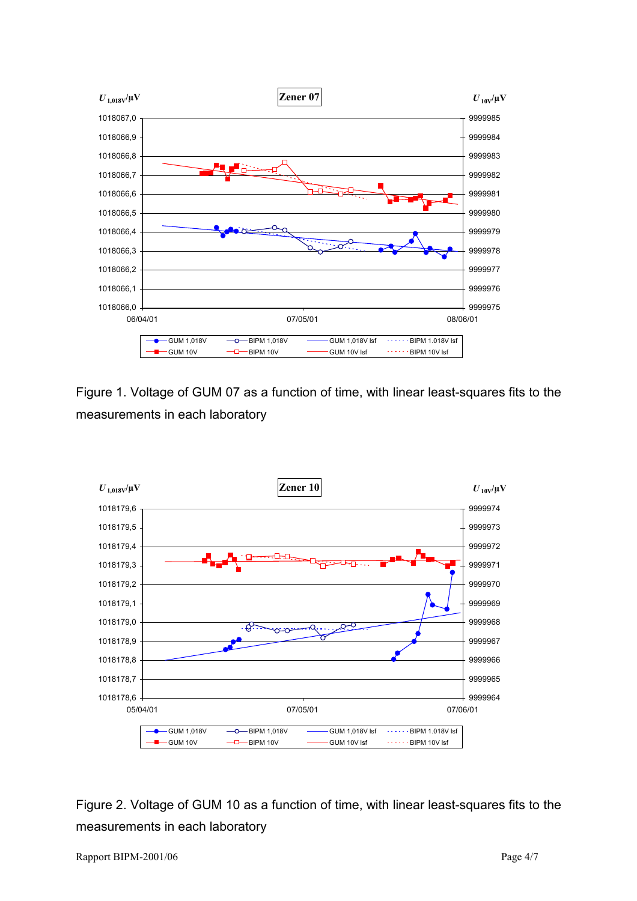

Figure 1. Voltage of GUM 07 as a function of time, with linear least-squares fits to the measurements in each laboratory



Figure 2. Voltage of GUM 10 as a function of time, with linear least-squares fits to the measurements in each laboratory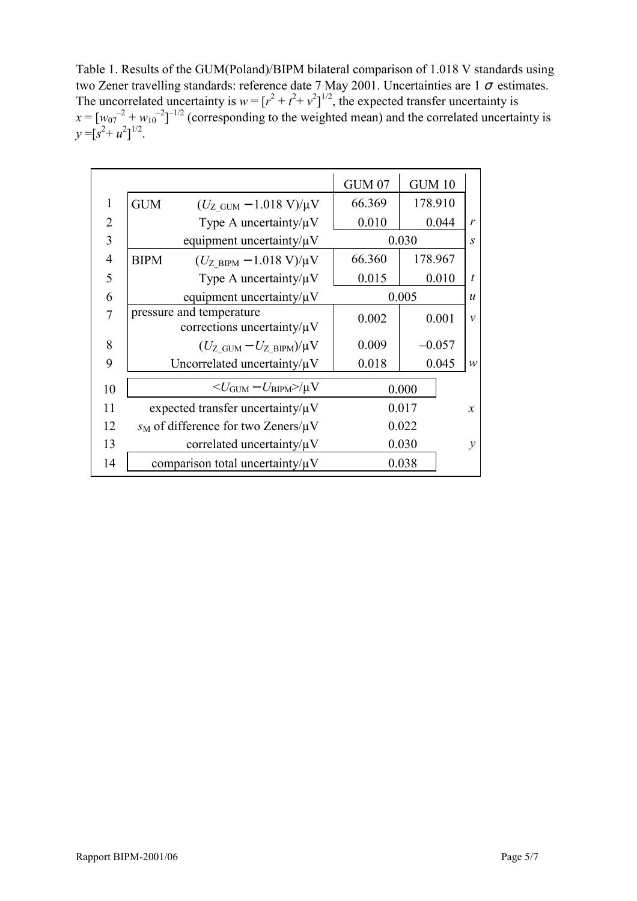Table 1. Results of the GUM(Poland)/BIPM bilateral comparison of 1.018 V standards using two Zener travelling standards: reference date 7 May 2001. Uncertainties are 1  $\sigma$  estimates. The uncorrelated uncertainty is  $w = [r^2 + t^2 + v^2]^{1/2}$ , the expected transfer uncertainty is  $x = [w_{07}^2 + w_{10}^2]^{-1/2}$  (corresponding to the weighted mean) and the correlated uncertainty is  $y = [s^2 + u^2]^{1/2}.$ 

|                |             |                                                              | <b>GUM 07</b> | <b>GUM 10</b> |                   |
|----------------|-------------|--------------------------------------------------------------|---------------|---------------|-------------------|
| 1              | <b>GUM</b>  | $(U_{Z\text{ GUM}} - 1.018 \text{ V})/\mu\text{V}$           | 66.369        | 178.910       |                   |
| $\overline{2}$ |             | Type A uncertainty/ $\mu$ V                                  | 0.010         | 0.044         | $\mathbf{r}$      |
| 3              |             | equipment uncertainty/ $\mu$ V                               |               | 0.030         | $\mathcal{S}_{0}$ |
| $\overline{4}$ | <b>BIPM</b> | $(U_{Z_BIPM} - 1.018 \text{ V})/\mu\text{V}$                 | 66.360        | 178.967       |                   |
| 5              |             | Type A uncertainty/ $\mu$ V                                  | 0.015         | 0.010         | $\boldsymbol{t}$  |
| 6              |             | equipment uncertainty/ $\mu$ V                               |               | 0.005         | $\boldsymbol{u}$  |
| 7              |             | pressure and temperature<br>corrections uncertainty/ $\mu$ V | 0.002         | 0.001         | $\mathcal{V}$     |
| 8              |             | $(U_{Z\text{ GUM}}-U_{Z\text{ BIPM}})/\mu V$                 | 0.009         | $-0.057$      |                   |
| 9              |             | Uncorrelated uncertainty/ $\mu$ V                            | 0.018         | 0.045         | $\mathcal W$      |
| 10             |             | $<$ $U_{\rm GUM}$ – $U_{\rm BIPM}$ $>$ / $\mu {\rm V}$       |               | 0.000         |                   |
| 11             |             | expected transfer uncertainty/ $\mu$ V                       |               | 0.017         | $\mathcal{X}$     |
| 12             |             | $s_M$ of difference for two Zeners/ $\mu$ V                  |               | 0.022         |                   |
| 13             |             | correlated uncertainty/ $\mu$ V                              |               | 0.030         | $\mathcal{Y}$     |
| 14             |             | comparison total uncertainty/ $\mu$ V                        |               | 0.038         |                   |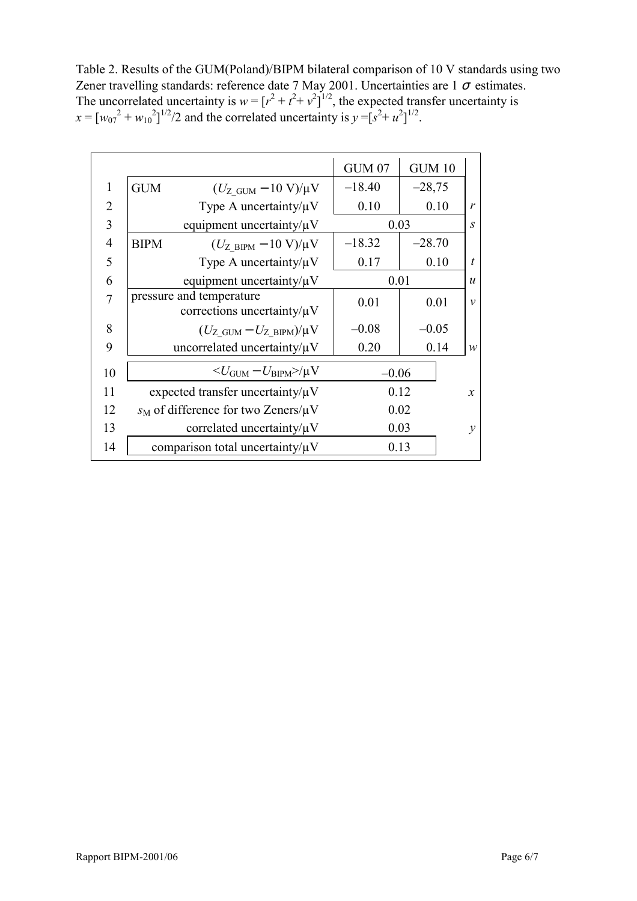Table 2. Results of the GUM(Poland)/BIPM bilateral comparison of 10 V standards using two Zener travelling standards: reference date 7 May 2001. Uncertainties are 1  $\sigma$  estimates. The uncorrelated uncertainty is  $w = [r^2 + t^2 + v^2]^{1/2}$ , the expected transfer uncertainty is  $x = [w_{07}^2 + w_{10}^2]^{1/2}/2$  and the correlated uncertainty is  $y = [s^2 + u^2]^{1/2}$ .

|                |             |                                                              | <b>GUM 07</b> | <b>GUM 10</b> |                  |
|----------------|-------------|--------------------------------------------------------------|---------------|---------------|------------------|
| 1              | <b>GUM</b>  | $(U_{Z \text{ GUM}} - 10 \text{ V})/\mu\text{V}$             | $-18.40$      | $-28,75$      |                  |
| 2              |             | Type A uncertainty/ $\mu$ V                                  | 0.10          | 0.10          | $\mathbf{r}$     |
| 3              |             | equipment uncertainty/ $\mu$ V                               | 0.03          |               | $\boldsymbol{S}$ |
| $\overline{4}$ | <b>BIPM</b> | $(U_{Z\text{ BIPM}} - 10 \text{ V})/\mu\text{V}$             | $-18.32$      | $-28.70$      |                  |
| 5              |             | Type A uncertainty/ $\mu$ V                                  | 0.17          | 0.10          | $\boldsymbol{t}$ |
| 6              |             | equipment uncertainty/ $\mu$ V                               | 0.01          |               | $\boldsymbol{u}$ |
| 7              |             | pressure and temperature<br>corrections uncertainty/ $\mu$ V | 0.01          | 0.01          | $\mathcal{V}$    |
| 8              |             | $(U_{Z\text{ GUM}}-U_{Z\text{ BIPM}})/\mu V$                 | $-0.08$       | $-0.05$       |                  |
| 9              |             | uncorrelated uncertainty/ $\mu$ V                            | 0.20          | 0.14          | $\mathcal W$     |
| 10             |             | $U_{\text{GUM}} - U_{\text{BIPM}}$ $>$ / $\mu$ V             | $-0.06$       |               |                  |
| 11             |             | expected transfer uncertainty/ $\mu$ V                       |               | 0.12          | $\mathcal{X}$    |
| 12             |             | $s_M$ of difference for two Zeners/ $\mu$ V                  |               | 0.02          |                  |
| 13             |             | correlated uncertainty/ $\mu$ V                              | 0.03          |               | $\mathcal{Y}$    |
| 14             |             | comparison total uncertainty/ $\mu$ V                        |               | 0.13          |                  |
|                |             |                                                              |               |               |                  |